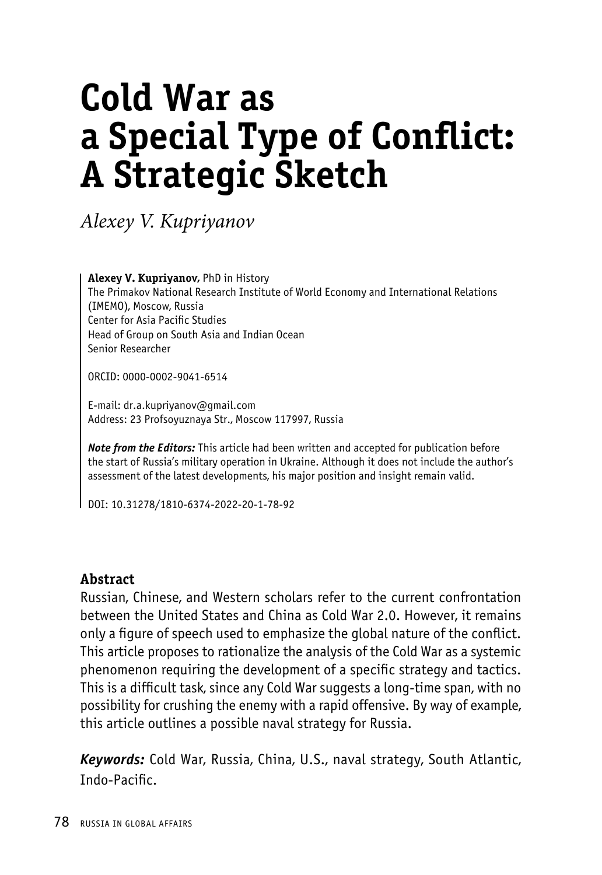# **Cold War as a Special Type of Conflict: A Strategic Sketch**

*Alexey V. Kupriyanov*

**Alexey V. Kupriyanov,** PhD in History The Primakov National Research Institute of World Economy and International Relations (IMEMO), Moscow, Russia Center for Asia Pacific Studies Head of Group on South Asia and Indian Ocean Senior Researcher

ORCID: 0000-0002-9041-6514

E-mail: dr.a.kupriyanov@gmail.com Address: 23 Profsoyuznaya Str., Moscow 117997, Russia

*Note from the Editors:* This article had been written and accepted for publication before the start of Russia's military operation in Ukraine. Although it does not include the author's assessment of the latest developments, his major position and insight remain valid.

DOI: 10.31278/1810-6374-2022-20-1-78-92

#### **Abstract**

Russian, Chinese, and Western scholars refer to the current confrontation between the United States and China as Cold War 2.0. However, it remains only a figure of speech used to emphasize the global nature of the conflict. This article proposes to rationalize the analysis of the Cold War as a systemic phenomenon requiring the development of a specific strategy and tactics. This is a difficult task, since any Cold War suggests a long-time span, with no possibility for crushing the enemy with a rapid offensive. By way of example, this article outlines a possible naval strategy for Russia.

*Keywords:* Cold War, Russia, China, U.S., naval strategy, South Atlantic, Indo-Pacific.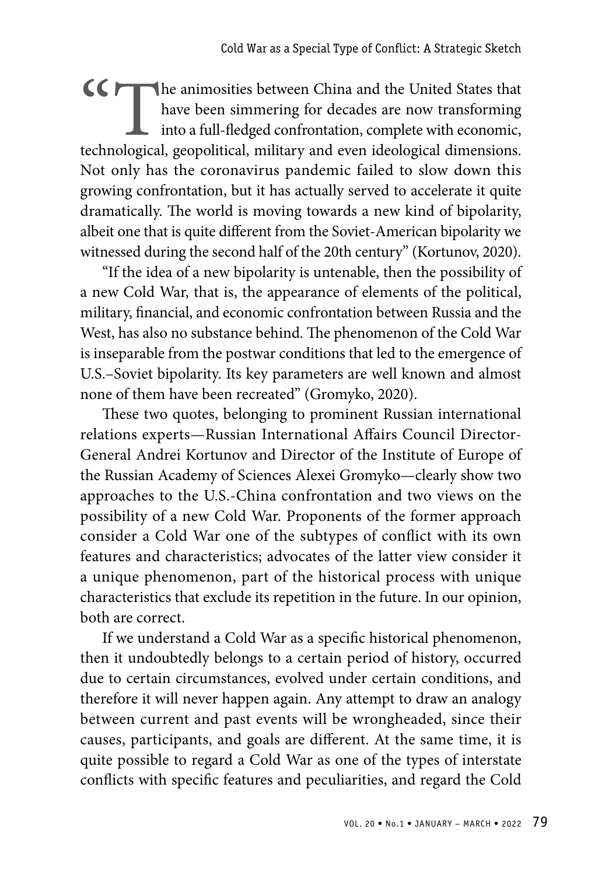CC The animosities between China and the United States that have been simmering for decades are now transforming into a full-fledged confrontation, complete with economic, technological, geopolitical, military and even ideological dimensions. Not only has the coronavirus pandemic failed to slow down this growing confrontation, but it has actually served to accelerate it quite dramatically. The world is moving towards a new kind of bipolarity, albeit one that is quite different from the Soviet-American bipolarity we witnessed during the second half of the 20th century" (Kortunov, 2020).

"If the idea of a new bipolarity is untenable, then the possibility of a new Cold War, that is, the appearance of elements of the political, military, financial, and economic confrontation between Russia and the West, has also no substance behind. The phenomenon of the Cold War is inseparable from the postwar conditions that led to the emergence of U.S.–Soviet bipolarity. Its key parameters are well known and almost none of them have been recreated" (Gromyko, 2020).

These two quotes, belonging to prominent Russian international relations experts—Russian International Affairs Council Director-General Andrei Kortunov and Director of the Institute of Europe of the Russian Academy of Sciences Alexei Gromyko—clearly show two approaches to the U.S.-China confrontation and two views on the possibility of a new Cold War. Proponents of the former approach consider a Cold War one of the subtypes of conflict with its own features and characteristics; advocates of the latter view consider it a unique phenomenon, part of the historical process with unique characteristics that exclude its repetition in the future. In our opinion, both are correct.

If we understand a Cold War as a specific historical phenomenon, then it undoubtedly belongs to a certain period of history, occurred due to certain circumstances, evolved under certain conditions, and therefore it will never happen again. Any attempt to draw an analogy between current and past events will be wrongheaded, since their causes, participants, and goals are different. At the same time, it is quite possible to regard a Cold War as one of the types of interstate conflicts with specific features and peculiarities, and regard the Cold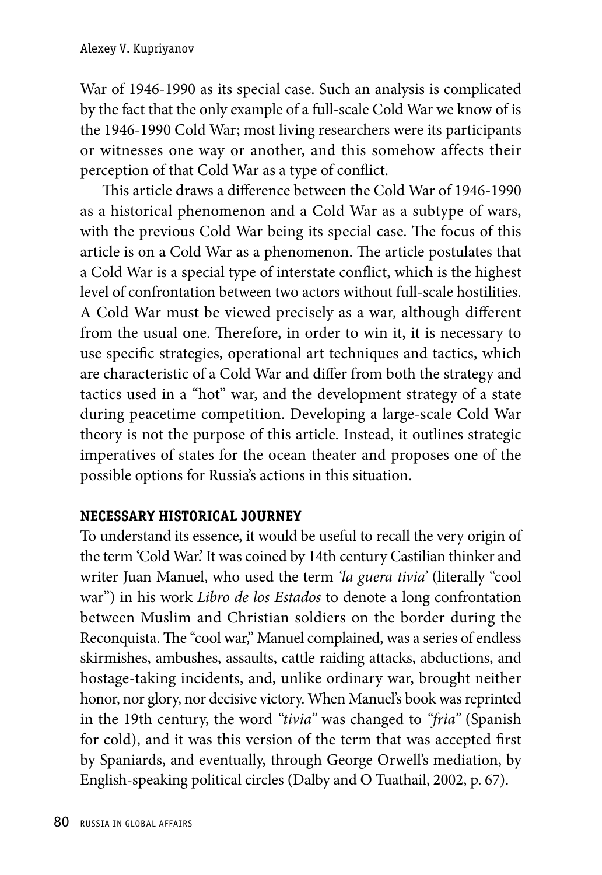War of 1946-1990 as its special case. Such an analysis is complicated by the fact that the only example of a full-scale Cold War we know of is the 1946-1990 Cold War; most living researchers were its participants or witnesses one way or another, and this somehow affects their perception of that Cold War as a type of conflict.

This article draws a difference between the Cold War of 1946-1990 as a historical phenomenon and a Cold War as a subtype of wars, with the previous Cold War being its special case. The focus of this article is on a Cold War as a phenomenon. The article postulates that a Cold War is a special type of interstate conflict, which is the highest level of confrontation between two actors without full-scale hostilities. A Cold War must be viewed precisely as a war, although different from the usual one. Therefore, in order to win it, it is necessary to use specific strategies, operational art techniques and tactics, which are characteristic of a Cold War and differ from both the strategy and tactics used in a "hot" war, and the development strategy of a state during peacetime competition. Developing a large-scale Cold War theory is not the purpose of this article. Instead, it outlines strategic imperatives of states for the ocean theater and proposes one of the possible options for Russia's actions in this situation.

### **NECESSARY HISTORICAL JOURNEY**

To understand its essence, it would be useful to recall the very origin of the term 'Cold War.' It was coined by 14th century Castilian thinker and writer Juan Manuel, who used the term *'la guera tivia'* (literally "cool war") in his work *Libro de los Estados* to denote a long confrontation between Muslim and Christian soldiers on the border during the Reconquista. The "cool war," Manuel complained, was a series of endless skirmishes, ambushes, assaults, cattle raiding attacks, abductions, and hostage-taking incidents, and, unlike ordinary war, brought neither honor, nor glory, nor decisive victory. When Manuel's book was reprinted in the 19th century, the word *"tivia"* was changed to *"fria"* (Spanish for cold), and it was this version of the term that was accepted first by Spaniards, and eventually, through George Orwell's mediation, by English-speaking political circles (Dalby and O Tuathail, 2002, p. 67).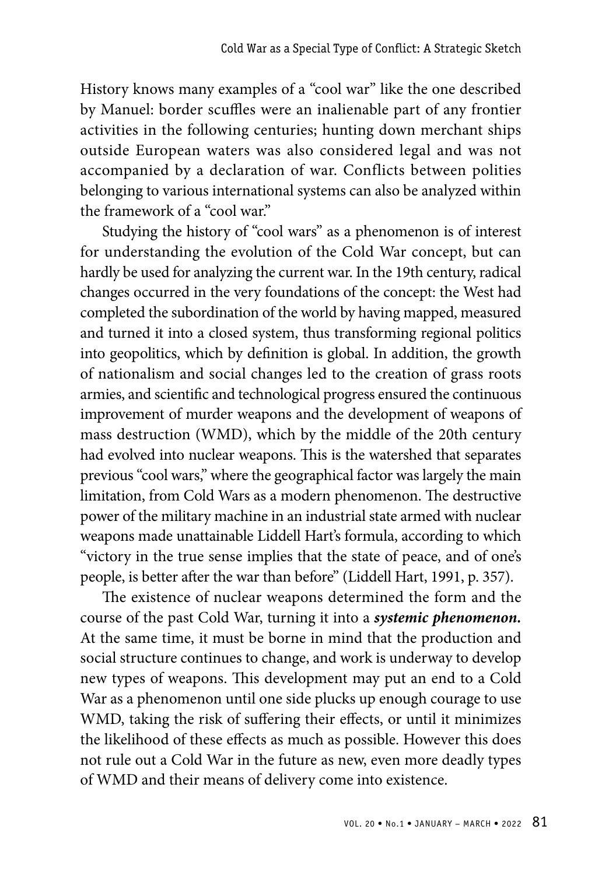History knows many examples of a "cool war" like the one described by Manuel: border scuffles were an inalienable part of any frontier activities in the following centuries; hunting down merchant ships outside European waters was also considered legal and was not accompanied by a declaration of war. Conflicts between polities belonging to various international systems can also be analyzed within the framework of a "cool war."

Studying the history of "cool wars" as a phenomenon is of interest for understanding the evolution of the Cold War concept, but can hardly be used for analyzing the current war. In the 19th century, radical changes occurred in the very foundations of the concept: the West had completed the subordination of the world by having mapped, measured and turned it into a closed system, thus transforming regional politics into geopolitics, which by definition is global. In addition, the growth of nationalism and social changes led to the creation of grass roots armies, and scientific and technological progress ensured the continuous improvement of murder weapons and the development of weapons of mass destruction (WMD), which by the middle of the 20th century had evolved into nuclear weapons. This is the watershed that separates previous "cool wars," where the geographical factor was largely the main limitation, from Cold Wars as a modern phenomenon. The destructive power of the military machine in an industrial state armed with nuclear weapons made unattainable Liddell Hart's formula, according to which "victory in the true sense implies that the state of peace, and of one's people, is better after the war than before" (Liddell Hart, 1991, p. 357).

The existence of nuclear weapons determined the form and the course of the past Cold War, turning it into a *systemic phenomenon.* At the same time, it must be borne in mind that the production and social structure continues to change, and work is underway to develop new types of weapons. This development may put an end to a Cold War as a phenomenon until one side plucks up enough courage to use WMD, taking the risk of suffering their effects, or until it minimizes the likelihood of these effects as much as possible. However this does not rule out a Cold War in the future as new, even more deadly types of WMD and their means of delivery come into existence.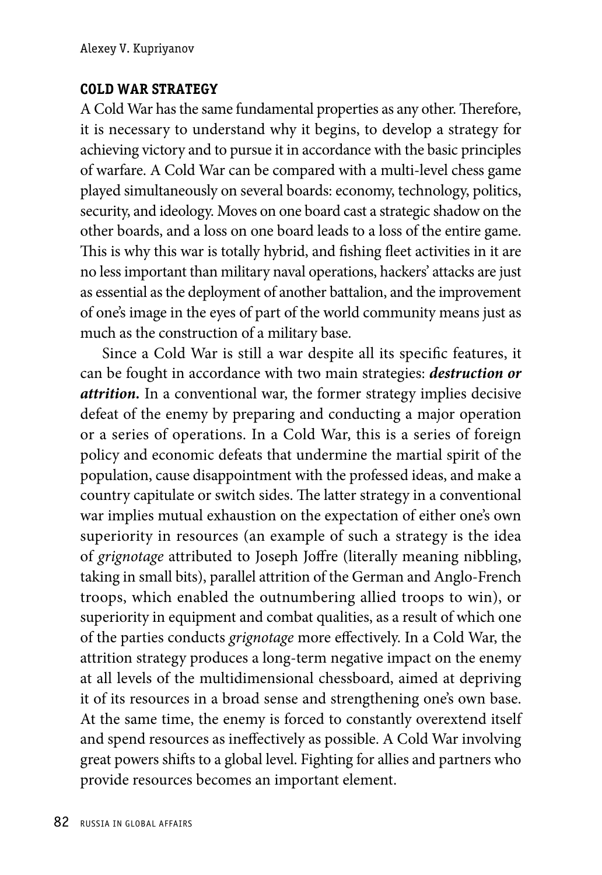### **COLD WAR STRATEGY**

A Cold War has the same fundamental properties as any other. Therefore, it is necessary to understand why it begins, to develop a strategy for achieving victory and to pursue it in accordance with the basic principles of warfare. A Cold War can be compared with a multi-level chess game played simultaneously on several boards: economy, technology, politics, security, and ideology. Moves on one board cast a strategic shadow on the other boards, and a loss on one board leads to a loss of the entire game. This is why this war is totally hybrid, and fishing fleet activities in it are no less important than military naval operations, hackers' attacks are just as essential as the deployment of another battalion, and the improvement of one's image in the eyes of part of the world community means just as much as the construction of a military base.

Since a Cold War is still a war despite all its specific features, it can be fought in accordance with two main strategies: *destruction or attrition.* In a conventional war, the former strategy implies decisive defeat of the enemy by preparing and conducting a major operation or a series of operations. In a Cold War, this is a series of foreign policy and economic defeats that undermine the martial spirit of the population, cause disappointment with the professed ideas, and make a country capitulate or switch sides. The latter strategy in a conventional war implies mutual exhaustion on the expectation of either one's own superiority in resources (an example of such a strategy is the idea of *grignotage* attributed to Joseph Joffre (literally meaning nibbling, taking in small bits), parallel attrition of the German and Anglo-French troops, which enabled the outnumbering allied troops to win), or superiority in equipment and combat qualities, as a result of which one of the parties conducts *grignotage* more effectively. In a Cold War, the attrition strategy produces a long-term negative impact on the enemy at all levels of the multidimensional chessboard, aimed at depriving it of its resources in a broad sense and strengthening one's own base. At the same time, the enemy is forced to constantly overextend itself and spend resources as ineffectively as possible. A Cold War involving great powers shifts to a global level. Fighting for allies and partners who provide resources becomes an important element.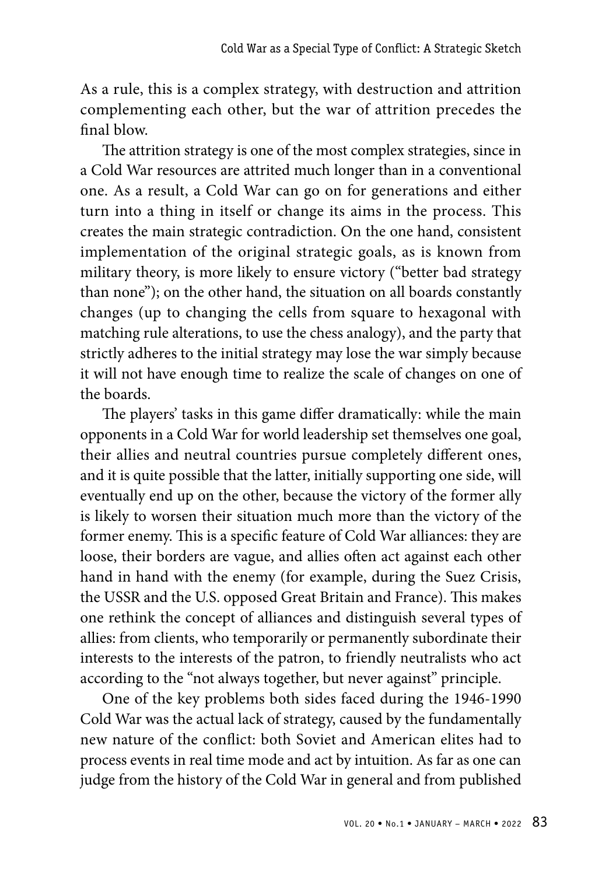As a rule, this is a complex strategy, with destruction and attrition complementing each other, but the war of attrition precedes the final blow.

The attrition strategy is one of the most complex strategies, since in a Cold War resources are attrited much longer than in a conventional one. As a result, a Cold War can go on for generations and either turn into a thing in itself or change its aims in the process. This creates the main strategic contradiction. On the one hand, consistent implementation of the original strategic goals, as is known from military theory, is more likely to ensure victory ("better bad strategy than none"); on the other hand, the situation on all boards constantly changes (up to changing the cells from square to hexagonal with matching rule alterations, to use the chess analogy), and the party that strictly adheres to the initial strategy may lose the war simply because it will not have enough time to realize the scale of changes on one of the boards.

The players' tasks in this game differ dramatically: while the main opponents in a Cold War for world leadership set themselves one goal, their allies and neutral countries pursue completely different ones, and it is quite possible that the latter, initially supporting one side, will eventually end up on the other, because the victory of the former ally is likely to worsen their situation much more than the victory of the former enemy. This is a specific feature of Cold War alliances: they are loose, their borders are vague, and allies often act against each other hand in hand with the enemy (for example, during the Suez Crisis, the USSR and the U.S. opposed Great Britain and France). This makes one rethink the concept of alliances and distinguish several types of allies: from clients, who temporarily or permanently subordinate their interests to the interests of the patron, to friendly neutralists who act according to the "not always together, but never against" principle.

One of the key problems both sides faced during the 1946-1990 Cold War was the actual lack of strategy, caused by the fundamentally new nature of the conflict: both Soviet and American elites had to process events in real time mode and act by intuition. As far as one can judge from the history of the Cold War in general and from published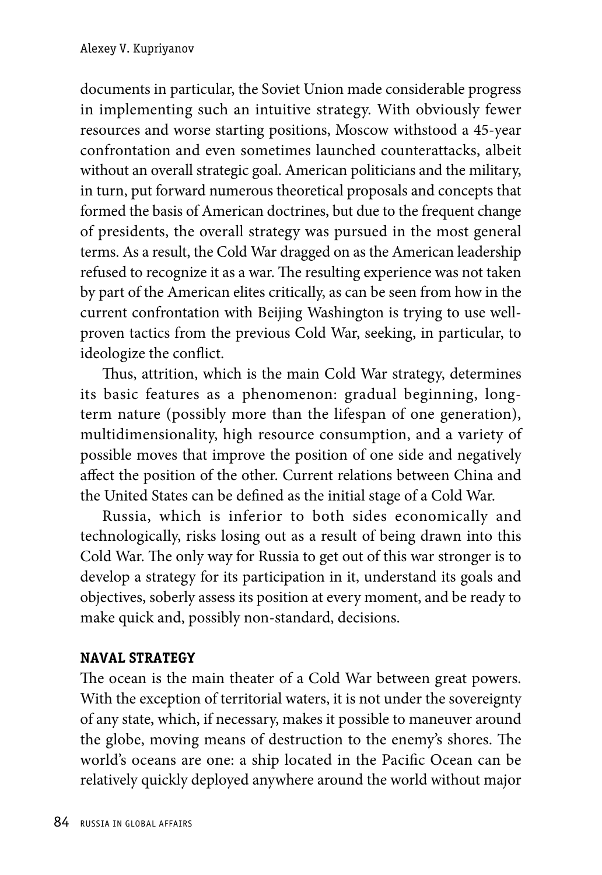documents in particular, the Soviet Union made considerable progress in implementing such an intuitive strategy. With obviously fewer resources and worse starting positions, Moscow withstood a 45-year confrontation and even sometimes launched counterattacks, albeit without an overall strategic goal. American politicians and the military, in turn, put forward numerous theoretical proposals and concepts that formed the basis of American doctrines, but due to the frequent change of presidents, the overall strategy was pursued in the most general terms. As a result, the Cold War dragged on as the American leadership refused to recognize it as a war. The resulting experience was not taken by part of the American elites critically, as can be seen from how in the current confrontation with Beijing Washington is trying to use wellproven tactics from the previous Cold War, seeking, in particular, to ideologize the conflict.

Thus, attrition, which is the main Cold War strategy, determines its basic features as a phenomenon: gradual beginning, longterm nature (possibly more than the lifespan of one generation), multidimensionality, high resource consumption, and a variety of possible moves that improve the position of one side and negatively affect the position of the other. Current relations between China and the United States can be defined as the initial stage of a Cold War.

Russia, which is inferior to both sides economically and technologically, risks losing out as a result of being drawn into this Cold War. The only way for Russia to get out of this war stronger is to develop a strategy for its participation in it, understand its goals and objectives, soberly assess its position at every moment, and be ready to make quick and, possibly non-standard, decisions.

## **NAVAL STRATEGY**

The ocean is the main theater of a Cold War between great powers. With the exception of territorial waters, it is not under the sovereignty of any state, which, if necessary, makes it possible to maneuver around the globe, moving means of destruction to the enemy's shores. The world's oceans are one: a ship located in the Pacific Ocean can be relatively quickly deployed anywhere around the world without major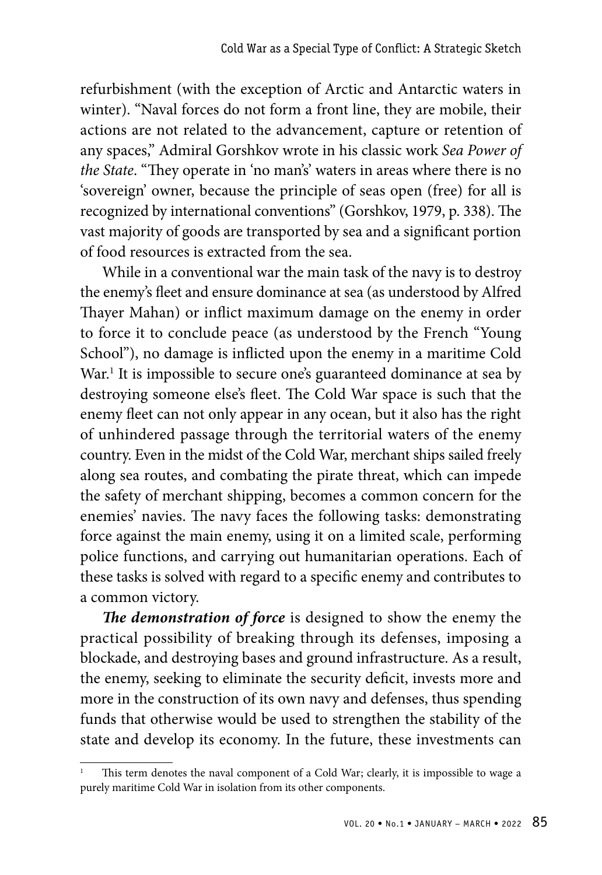refurbishment (with the exception of Arctic and Antarctic waters in winter). "Naval forces do not form a front line, they are mobile, their actions are not related to the advancement, capture or retention of any spaces," Admiral Gorshkov wrote in his classic work *Sea Power of the State*. "They operate in 'no man's' waters in areas where there is no 'sovereign' owner, because the principle of seas open (free) for all is recognized by international conventions" (Gorshkov, 1979, p. 338). The vast majority of goods are transported by sea and a significant portion of food resources is extracted from the sea.

While in a conventional war the main task of the navy is to destroy the enemy's fleet and ensure dominance at sea (as understood by Alfred Thayer Mahan) or inflict maximum damage on the enemy in order to force it to conclude peace (as understood by the French "Young School"), no damage is inflicted upon the enemy in a maritime Cold War.<sup>1</sup> It is impossible to secure one's guaranteed dominance at sea by destroying someone else's fleet. The Cold War space is such that the enemy fleet can not only appear in any ocean, but it also has the right of unhindered passage through the territorial waters of the enemy country. Even in the midst of the Cold War, merchant ships sailed freely along sea routes, and combating the pirate threat, which can impede the safety of merchant shipping, becomes a common concern for the enemies' navies. The navy faces the following tasks: demonstrating force against the main enemy, using it on a limited scale, performing police functions, and carrying out humanitarian operations. Each of these tasks is solved with regard to a specific enemy and contributes to a common victory.

*The demonstration of force* is designed to show the enemy the practical possibility of breaking through its defenses, imposing a blockade, and destroying bases and ground infrastructure. As a result, the enemy, seeking to eliminate the security deficit, invests more and more in the construction of its own navy and defenses, thus spending funds that otherwise would be used to strengthen the stability of the state and develop its economy. In the future, these investments can

This term denotes the naval component of a Cold War; clearly, it is impossible to wage a purely maritime Cold War in isolation from its other components.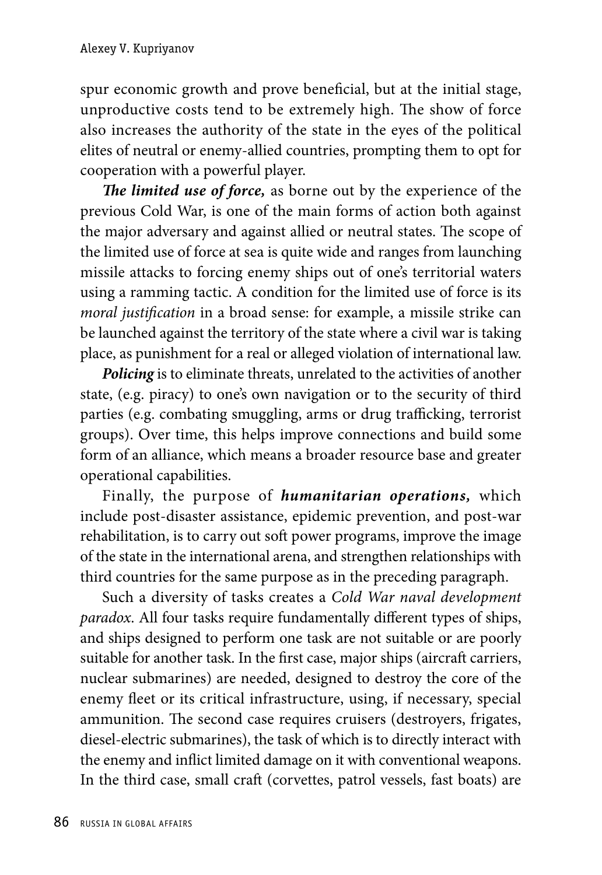spur economic growth and prove beneficial, but at the initial stage, unproductive costs tend to be extremely high. The show of force also increases the authority of the state in the eyes of the political elites of neutral or enemy-allied countries, prompting them to opt for cooperation with a powerful player.

*The limited use of force,* as borne out by the experience of the previous Cold War, is one of the main forms of action both against the major adversary and against allied or neutral states. The scope of the limited use of force at sea is quite wide and ranges from launching missile attacks to forcing enemy ships out of one's territorial waters using a ramming tactic. A condition for the limited use of force is its *moral justification* in a broad sense: for example, a missile strike can be launched against the territory of the state where a civil war is taking place, as punishment for a real or alleged violation of international law.

*Policing* is to eliminate threats, unrelated to the activities of another state, (e.g. piracy) to one's own navigation or to the security of third parties (e.g. combating smuggling, arms or drug trafficking, terrorist groups). Over time, this helps improve connections and build some form of an alliance, which means a broader resource base and greater operational capabilities.

Finally, the purpose of *humanitarian operations,* which include post-disaster assistance, epidemic prevention, and post-war rehabilitation, is to carry out soft power programs, improve the image of the state in the international arena, and strengthen relationships with third countries for the same purpose as in the preceding paragraph.

Such a diversity of tasks creates a *Cold War naval development paradox*. All four tasks require fundamentally different types of ships, and ships designed to perform one task are not suitable or are poorly suitable for another task. In the first case, major ships (aircraft carriers, nuclear submarines) are needed, designed to destroy the core of the enemy fleet or its critical infrastructure, using, if necessary, special ammunition. The second case requires cruisers (destroyers, frigates, diesel-electric submarines), the task of which is to directly interact with the enemy and inflict limited damage on it with conventional weapons. In the third case, small craft (corvettes, patrol vessels, fast boats) are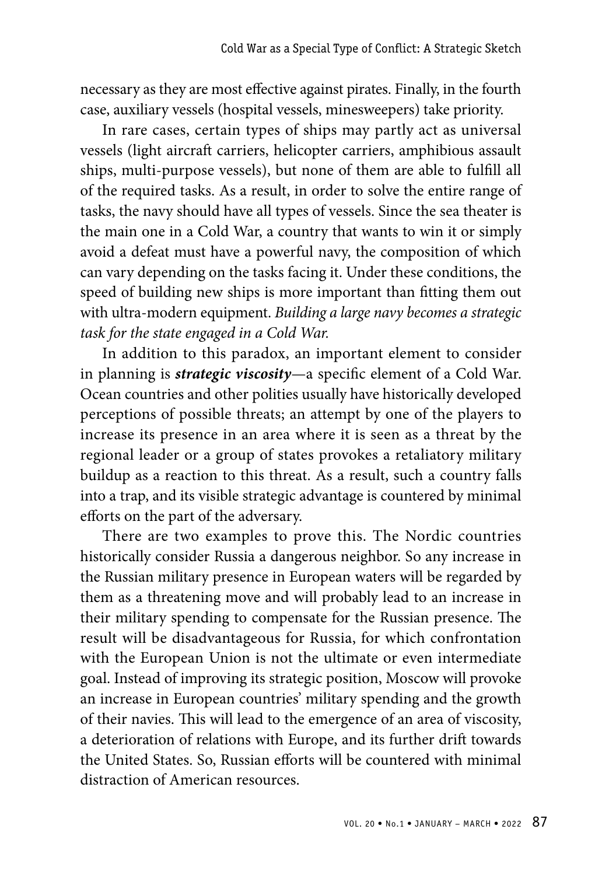necessary as they are most effective against pirates. Finally, in the fourth case, auxiliary vessels (hospital vessels, minesweepers) take priority.

In rare cases, certain types of ships may partly act as universal vessels (light aircraft carriers, helicopter carriers, amphibious assault ships, multi-purpose vessels), but none of them are able to fulfill all of the required tasks. As a result, in order to solve the entire range of tasks, the navy should have all types of vessels. Since the sea theater is the main one in a Cold War, a country that wants to win it or simply avoid a defeat must have a powerful navy, the composition of which can vary depending on the tasks facing it. Under these conditions, the speed of building new ships is more important than fitting them out with ultra-modern equipment. *Building a large navy becomes a strategic task for the state engaged in a Cold War.*

In addition to this paradox, an important element to consider in planning is *strategic viscosity*—a specific element of a Cold War. Ocean countries and other polities usually have historically developed perceptions of possible threats; an attempt by one of the players to increase its presence in an area where it is seen as a threat by the regional leader or a group of states provokes a retaliatory military buildup as a reaction to this threat. As a result, such a country falls into a trap, and its visible strategic advantage is countered by minimal efforts on the part of the adversary.

There are two examples to prove this. The Nordic countries historically consider Russia a dangerous neighbor. So any increase in the Russian military presence in European waters will be regarded by them as a threatening move and will probably lead to an increase in their military spending to compensate for the Russian presence. The result will be disadvantageous for Russia, for which confrontation with the European Union is not the ultimate or even intermediate goal. Instead of improving its strategic position, Moscow will provoke an increase in European countries' military spending and the growth of their navies. This will lead to the emergence of an area of viscosity, a deterioration of relations with Europe, and its further drift towards the United States. So, Russian efforts will be countered with minimal distraction of American resources.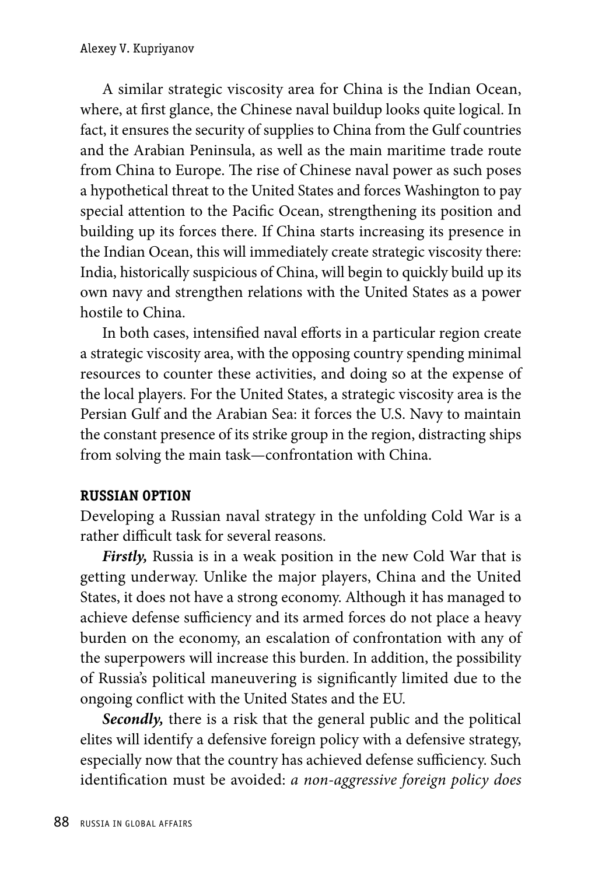A similar strategic viscosity area for China is the Indian Ocean, where, at first glance, the Chinese naval buildup looks quite logical. In fact, it ensures the security of supplies to China from the Gulf countries and the Arabian Peninsula, as well as the main maritime trade route from China to Europe. The rise of Chinese naval power as such poses a hypothetical threat to the United States and forces Washington to pay special attention to the Pacific Ocean, strengthening its position and building up its forces there. If China starts increasing its presence in the Indian Ocean, this will immediately create strategic viscosity there: India, historically suspicious of China, will begin to quickly build up its own navy and strengthen relations with the United States as a power hostile to China.

In both cases, intensified naval efforts in a particular region create a strategic viscosity area, with the opposing country spending minimal resources to counter these activities, and doing so at the expense of the local players. For the United States, a strategic viscosity area is the Persian Gulf and the Arabian Sea: it forces the U.S. Navy to maintain the constant presence of its strike group in the region, distracting ships from solving the main task—confrontation with China.

### **RUSSIAN OPTION**

Developing a Russian naval strategy in the unfolding Cold War is a rather difficult task for several reasons.

*Firstly,* Russia is in a weak position in the new Cold War that is getting underway. Unlike the major players, China and the United States, it does not have a strong economy. Although it has managed to achieve defense sufficiency and its armed forces do not place a heavy burden on the economy, an escalation of confrontation with any of the superpowers will increase this burden. In addition, the possibility of Russia's political maneuvering is significantly limited due to the ongoing conflict with the United States and the EU.

*Secondly,* there is a risk that the general public and the political elites will identify a defensive foreign policy with a defensive strategy, especially now that the country has achieved defense sufficiency. Such identification must be avoided: *a non-aggressive foreign policy does*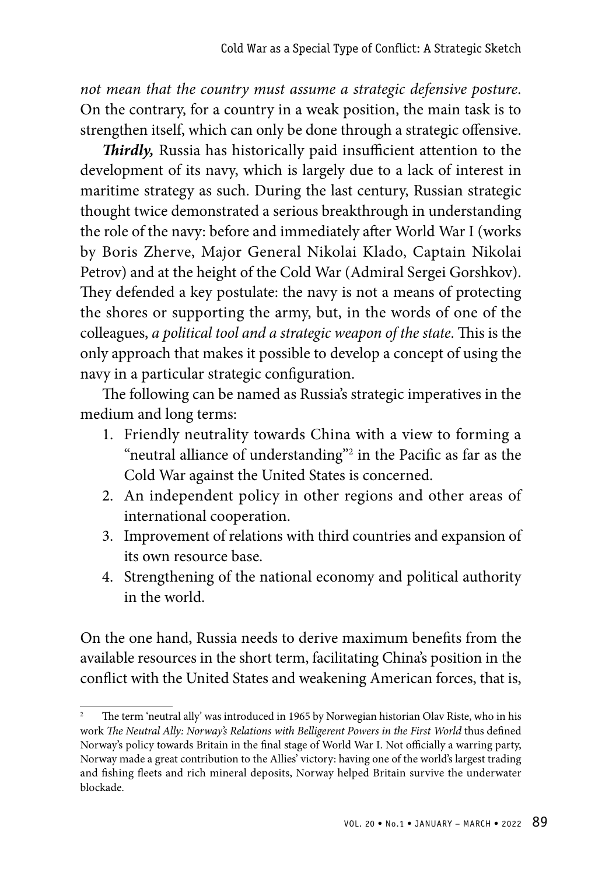*not mean that the country must assume a strategic defensive posture*. On the contrary, for a country in a weak position, the main task is to strengthen itself, which can only be done through a strategic offensive.

*Thirdly,* Russia has historically paid insufficient attention to the development of its navy, which is largely due to a lack of interest in maritime strategy as such. During the last century, Russian strategic thought twice demonstrated a serious breakthrough in understanding the role of the navy: before and immediately after World War I (works by Boris Zherve, Major General Nikolai Klado, Captain Nikolai Petrov) and at the height of the Cold War (Admiral Sergei Gorshkov). They defended a key postulate: the navy is not a means of protecting the shores or supporting the army, but, in the words of one of the colleagues, *a political tool and a strategic weapon of the state*. This is the only approach that makes it possible to develop a concept of using the navy in a particular strategic configuration.

The following can be named as Russia's strategic imperatives in the medium and long terms:

- 1. Friendly neutrality towards China with a view to forming a "neutral alliance of understanding"<sup>2</sup> in the Pacific as far as the Cold War against the United States is concerned.
- 2. An independent policy in other regions and other areas of international cooperation.
- 3. Improvement of relations with third countries and expansion of its own resource base.
- 4. Strengthening of the national economy and political authority in the world.

On the one hand, Russia needs to derive maximum benefits from the available resources in the short term, facilitating China's position in the conflict with the United States and weakening American forces, that is,

The term 'neutral ally' was introduced in 1965 by Norwegian historian Olav Riste, who in his work *The Neutral Ally: Norway's Relations with Belligerent Powers in the First World* thus defined Norway's policy towards Britain in the final stage of World War I. Not officially a warring party, Norway made a great contribution to the Allies' victory: having one of the world's largest trading and fishing fleets and rich mineral deposits, Norway helped Britain survive the underwater blockade.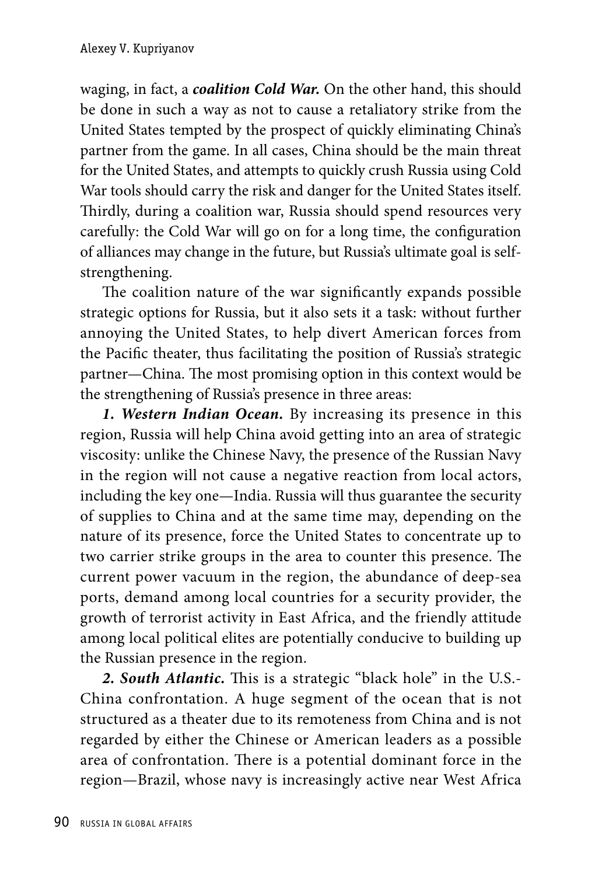waging, in fact, a *coalition Cold War.* On the other hand, this should be done in such a way as not to cause a retaliatory strike from the United States tempted by the prospect of quickly eliminating China's partner from the game. In all cases, China should be the main threat for the United States, and attempts to quickly crush Russia using Cold War tools should carry the risk and danger for the United States itself. Thirdly, during a coalition war, Russia should spend resources very carefully: the Cold War will go on for a long time, the configuration of alliances may change in the future, but Russia's ultimate goal is selfstrengthening.

The coalition nature of the war significantly expands possible strategic options for Russia, but it also sets it a task: without further annoying the United States, to help divert American forces from the Pacific theater, thus facilitating the position of Russia's strategic partner—China. The most promising option in this context would be the strengthening of Russia's presence in three areas:

*1. Western Indian Ocean.* By increasing its presence in this region, Russia will help China avoid getting into an area of strategic viscosity: unlike the Chinese Navy, the presence of the Russian Navy in the region will not cause a negative reaction from local actors, including the key one—India. Russia will thus guarantee the security of supplies to China and at the same time may, depending on the nature of its presence, force the United States to concentrate up to two carrier strike groups in the area to counter this presence. The current power vacuum in the region, the abundance of deep-sea ports, demand among local countries for a security provider, the growth of terrorist activity in East Africa, and the friendly attitude among local political elites are potentially conducive to building up the Russian presence in the region.

*2. South Atlantic.* This is a strategic "black hole" in the U.S.- China confrontation. A huge segment of the ocean that is not structured as a theater due to its remoteness from China and is not regarded by either the Chinese or American leaders as a possible area of confrontation. There is a potential dominant force in the region—Brazil, whose navy is increasingly active near West Africa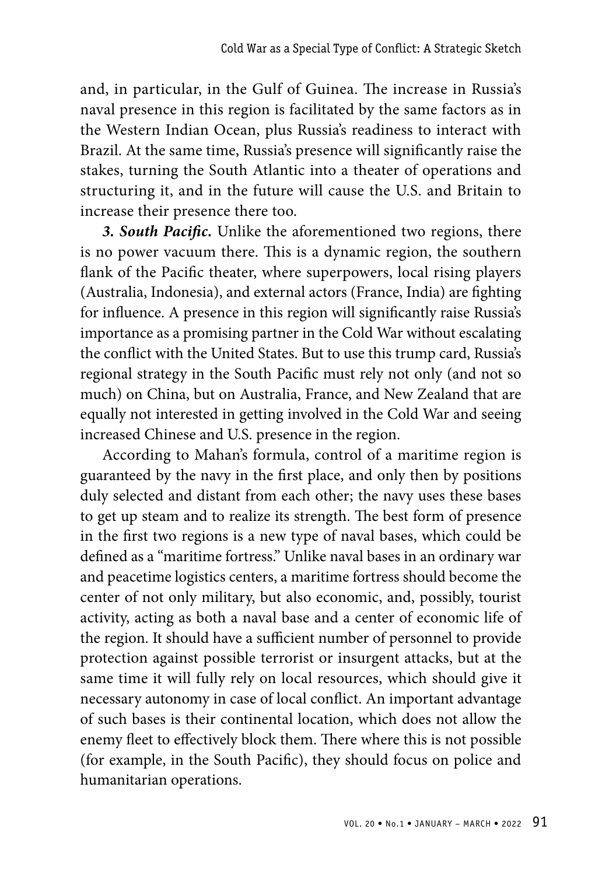and, in particular, in the Gulf of Guinea. The increase in Russia's naval presence in this region is facilitated by the same factors as in the Western Indian Ocean, plus Russia's readiness to interact with Brazil. At the same time, Russia's presence will significantly raise the stakes, turning the South Atlantic into a theater of operations and structuring it, and in the future will cause the U.S. and Britain to increase their presence there too.

*3. South Pacific.* Unlike the aforementioned two regions, there is no power vacuum there. This is a dynamic region, the southern flank of the Pacific theater, where superpowers, local rising players (Australia, Indonesia), and external actors (France, India) are fighting for influence. A presence in this region will significantly raise Russia's importance as a promising partner in the Cold War without escalating the conflict with the United States. But to use this trump card, Russia's regional strategy in the South Pacific must rely not only (and not so much) on China, but on Australia, France, and New Zealand that are equally not interested in getting involved in the Cold War and seeing increased Chinese and U.S. presence in the region.

According to Mahan's formula, control of a maritime region is guaranteed by the navy in the first place, and only then by positions duly selected and distant from each other; the navy uses these bases to get up steam and to realize its strength. The best form of presence in the first two regions is a new type of naval bases, which could be defined as a "maritime fortress." Unlike naval bases in an ordinary war and peacetime logistics centers, a maritime fortress should become the center of not only military, but also economic, and, possibly, tourist activity, acting as both a naval base and a center of economic life of the region. It should have a sufficient number of personnel to provide protection against possible terrorist or insurgent attacks, but at the same time it will fully rely on local resources, which should give it necessary autonomy in case of local conflict. An important advantage of such bases is their continental location, which does not allow the enemy fleet to effectively block them. There where this is not possible (for example, in the South Pacific), they should focus on police and humanitarian operations.